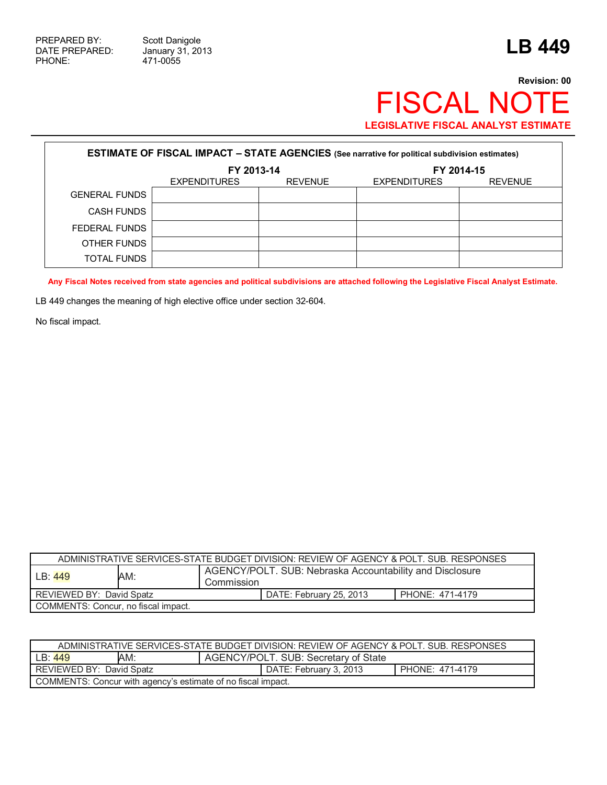$\Gamma$ 

471-0055

## **Revision: 00** FISCAL NOTE **LEGISLATIVE FISCAL ANALYST ESTIMATE**

| <b>ESTIMATE OF FISCAL IMPACT - STATE AGENCIES</b> (See narrative for political subdivision estimates) |                     |                |                     |                |
|-------------------------------------------------------------------------------------------------------|---------------------|----------------|---------------------|----------------|
|                                                                                                       | FY 2013-14          |                | FY 2014-15          |                |
|                                                                                                       | <b>EXPENDITURES</b> | <b>REVENUE</b> | <b>EXPENDITURES</b> | <b>REVENUE</b> |
| <b>GENERAL FUNDS</b>                                                                                  |                     |                |                     |                |
| <b>CASH FUNDS</b>                                                                                     |                     |                |                     |                |
| FEDERAL FUNDS                                                                                         |                     |                |                     |                |
| OTHER FUNDS                                                                                           |                     |                |                     |                |
| <b>TOTAL FUNDS</b>                                                                                    |                     |                |                     |                |

**Any Fiscal Notes received from state agencies and political subdivisions are attached following the Legislative Fiscal Analyst Estimate.** 

LB 449 changes the meaning of high elective office under section 32-604.

No fiscal impact.

| ADMINISTRATIVE SERVICES-STATE BUDGET DIVISION: REVIEW OF AGENCY & POLT. SUB. RESPONSES |     |                                                                        |                 |  |
|----------------------------------------------------------------------------------------|-----|------------------------------------------------------------------------|-----------------|--|
| LB: 449                                                                                | AM: | AGENCY/POLT. SUB: Nebraska Accountability and Disclosure<br>Commission |                 |  |
| REVIEWED BY: David Spatz                                                               |     | DATE: February 25, 2013                                                | PHONE: 471-4179 |  |
| COMMENTS: Concur, no fiscal impact.                                                    |     |                                                                        |                 |  |

| ADMINISTRATIVE SERVICES-STATE BUDGET DIVISION: REVIEW OF AGENCY & POLT. SUB. RESPONSES |                                             |                                           |  |  |
|----------------------------------------------------------------------------------------|---------------------------------------------|-------------------------------------------|--|--|
| LB: 449                                                                                | AM:<br>AGENCY/POLT. SUB: Secretary of State |                                           |  |  |
| REVIEWED BY: David Spatz                                                               |                                             | PHONE: 471-4179<br>DATE: February 3, 2013 |  |  |
| COMMENTS: Concur with agency's estimate of no fiscal impact.                           |                                             |                                           |  |  |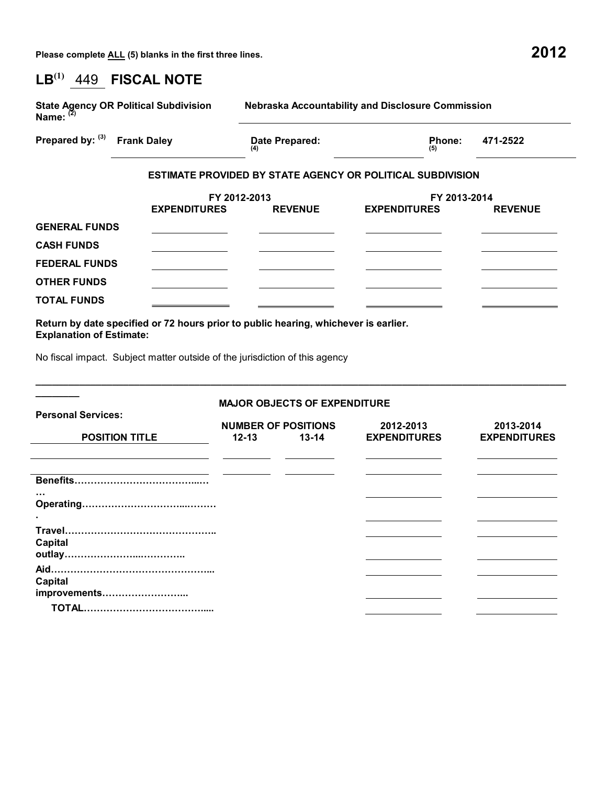**Please complete ALL (5) blanks in the first three lines. 2012**

| $\mathsf{LB}^{(1)}$<br>449 FISCAL NOTE                                      |                                                                   |                                                       |                                  |  |  |  |
|-----------------------------------------------------------------------------|-------------------------------------------------------------------|-------------------------------------------------------|----------------------------------|--|--|--|
| <b>State Agency OR Political Subdivision</b><br>Name: $(2)$                 |                                                                   | Nebraska Accountability and Disclosure Commission     |                                  |  |  |  |
| Prepared by: (3) Frank Daley                                                | Date Prepared:                                                    | Phone:<br>(5)                                         | 471-2522                         |  |  |  |
|                                                                             | <b>ESTIMATE PROVIDED BY STATE AGENCY OR POLITICAL SUBDIVISION</b> |                                                       |                                  |  |  |  |
| <b>EXPENDITURES</b>                                                         | FY 2012-2013<br><b>REVENUE</b>                                    | FY 2013-2014<br><b>EXPENDITURES</b><br><b>REVENUE</b> |                                  |  |  |  |
| <b>GENERAL FUNDS</b>                                                        |                                                                   |                                                       |                                  |  |  |  |
| <b>CASH FUNDS</b>                                                           |                                                                   |                                                       |                                  |  |  |  |
| <b>FEDERAL FUNDS</b>                                                        |                                                                   |                                                       |                                  |  |  |  |
| <b>OTHER FUNDS</b>                                                          |                                                                   |                                                       |                                  |  |  |  |
| <b>TOTAL FUNDS</b>                                                          |                                                                   |                                                       |                                  |  |  |  |
| No fiscal impact. Subject matter outside of the jurisdiction of this agency |                                                                   |                                                       |                                  |  |  |  |
| <b>Personal Services:</b>                                                   | <b>MAJOR OBJECTS OF EXPENDITURE</b>                               |                                                       |                                  |  |  |  |
| <b>POSITION TITLE</b>                                                       | <b>NUMBER OF POSITIONS</b><br>$12 - 13$<br>$13 - 14$              | 2012-2013<br><b>EXPENDITURES</b>                      | 2013-2014<br><b>EXPENDITURES</b> |  |  |  |
|                                                                             |                                                                   |                                                       |                                  |  |  |  |
|                                                                             |                                                                   |                                                       |                                  |  |  |  |
| Travel<br><b>Capital</b>                                                    |                                                                   |                                                       |                                  |  |  |  |
|                                                                             |                                                                   |                                                       |                                  |  |  |  |
| <b>Capital</b><br>improvements                                              |                                                                   |                                                       |                                  |  |  |  |
|                                                                             |                                                                   |                                                       |                                  |  |  |  |
|                                                                             |                                                                   |                                                       |                                  |  |  |  |